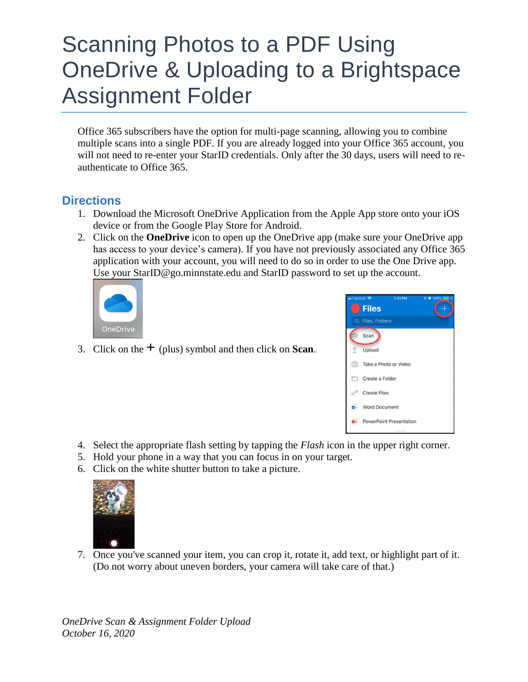## Scanning Photos to a PDF Using OneDrive & Uploading to a Brightspace Assignment Folder

Office 365 subscribers have the option for multi-page scanning, allowing you to combine multiple scans into a single PDF. If you are already logged into your Office 365 account, you will not need to re-enter your StarID credentials. Only after the 30 days, users will need to reauthenticate to Office 365.

## **Directions**

- 1. Download the Microsoft OneDrive Application from the Apple App store onto your iOS device or from the Google Play Store for Android.
- 2. Click on the **OneDrive** icon to open up the OneDrive app (make sure your OneDrive app has access to your device's camera). If you have not previously associated any Office 365 application with your account, you will need to do so in order to use the One Drive app. Use your StarID@go.minnstate.edu and StarID password to set up the account.



3. Click on the  $+$  (plus) symbol and then click on **Scan**.



- 4. Select the appropriate flash setting by tapping the *Flash* icon in the upper right corner.
- 5. Hold your phone in a way that you can focus in on your target.
- 6. Click on the white shutter button to take a picture.



7. Once you've scanned your item, you can crop it, rotate it, add text, or highlight part of it. (Do not worry about uneven borders, your camera will take care of that.)

*OneDrive Scan & Assignment Folder Upload October 16, 2020*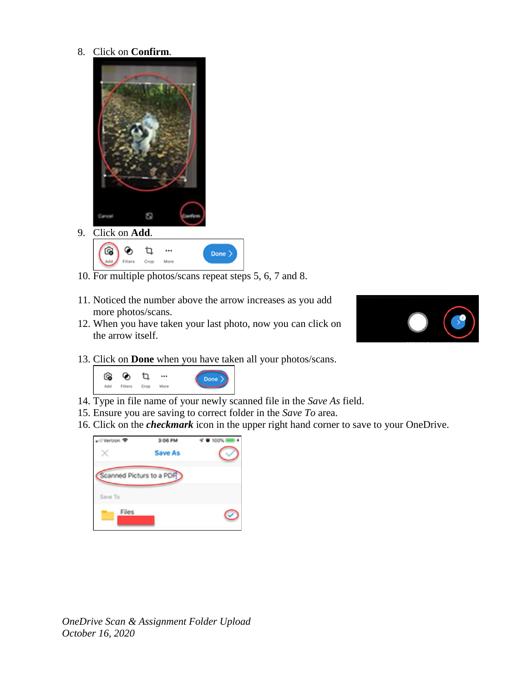8. Click on **Confirm**.





- 10. For multiple photos/scans repeat steps 5, 6, 7 and 8.
- 11. Noticed the number above the arrow increases as you add more photos/scans.
- 12. When you have taken your last photo, now you can click on the arrow itself.



13. Click on **Done** when you have taken all your photos/scans.



- 14. Type in file name of your newly scanned file in the *Save As* field.
- 15. Ensure you are saving to correct folder in the *Save To* area.
- 16. Click on the *checkmark* icon in the upper right hand corner to save to your OneDrive.



*OneDrive Scan & Assignment Folder Upload October 16, 2020*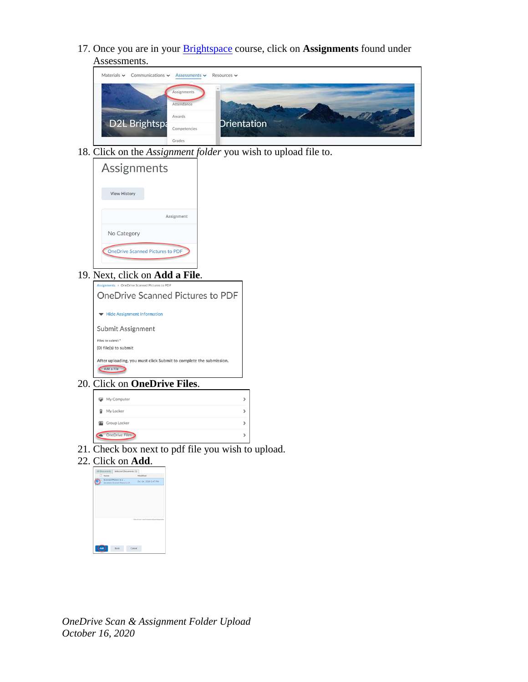17. Once you are in your [Brightspace](https://saintpaul.ims.mnscu.edu/) course, click on **Assignments** found under Assessments.



18. Click on the *Assignment folder* you wish to upload file to.

| Assignments                             |
|-----------------------------------------|
| <b>View History</b>                     |
| Assignment                              |
| No Category                             |
| <b>OneDrive Scanned Pictures to PDF</b> |

19. Next, click on **Add a File**.





- 21. Check box next to pdf file you wish to upload.
- 22. Click on **Add**.

| n    |                                                         |                                        |  |
|------|---------------------------------------------------------|----------------------------------------|--|
| Name |                                                         | Modified                               |  |
|      | Scanned Photos to a<br>Documents/Scanned Photos to a P. | Oct 14, 2020 2:47 PM                   |  |
|      |                                                         |                                        |  |
|      |                                                         |                                        |  |
|      |                                                         |                                        |  |
|      |                                                         |                                        |  |
|      |                                                         |                                        |  |
|      |                                                         | Disconnect marti.dockenilsaintpaul.edu |  |
|      |                                                         |                                        |  |
|      |                                                         |                                        |  |
|      |                                                         |                                        |  |

*OneDrive Scan & Assignment Folder Upload October 16, 2020*